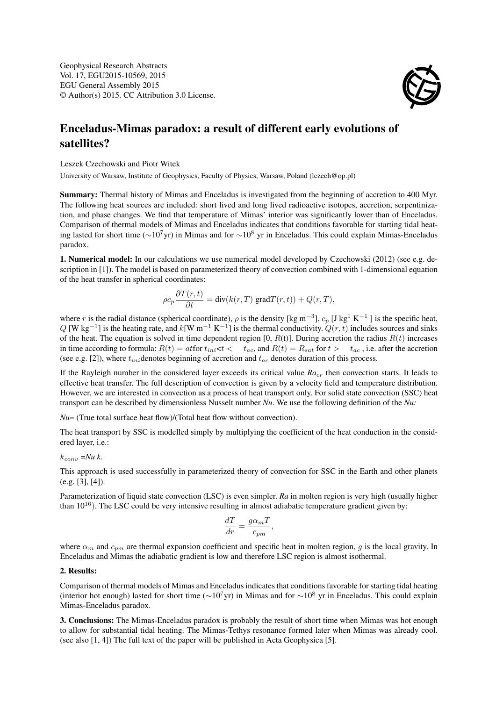

## Enceladus-Mimas paradox: a result of different early evolutions of satellites?

Leszek Czechowski and Piotr Witek

University of Warsaw, Institute of Geophysics, Faculty of Physics, Warsaw, Poland (lczech@op.pl)

Summary: Thermal history of Mimas and Enceladus is investigated from the beginning of accretion to 400 Myr. The following heat sources are included: short lived and long lived radioactive isotopes, accretion, serpentinization, and phase changes. We find that temperature of Mimas' interior was significantly lower than of Enceladus. Comparison of thermal models of Mimas and Enceladus indicates that conditions favorable for starting tidal heating lasted for short time (∼10<sup>7</sup>yr) in Mimas and for ∼10<sup>8</sup> yr in Enceladus. This could explain Mimas-Enceladus paradox.

1. Numerical model: In our calculations we use numerical model developed by Czechowski (2012) (see e.g. description in [1]). The model is based on parameterized theory of convection combined with 1-dimensional equation of the heat transfer in spherical coordinates:

$$
\rho c_p \frac{\partial T(r,t)}{\partial t} = \text{div}(k(r,T) \text{ grad} T(r,t)) + Q(r,T),
$$

where r is the radial distance (spherical coordinate),  $\rho$  is the density [kg m<sup>-3</sup>],  $c_p$  [J kg<sup>1</sup> K<sup>-1</sup>] is the specific heat,  $Q$  [W kg<sup>-1</sup>] is the heating rate, and  $k$ [W m<sup>-1</sup> K<sup>-1</sup>] is the thermal conductivity.  $Q(r, t)$  includes sources and sinks of the heat. The equation is solved in time dependent region  $[0, R(t)]$ . During accretion the radius  $R(t)$  increases in time according to formula:  $R(t) = att$  or  $t_{ini} < t < t_{ac}$ , and  $R(t) = R_{sat}$  for  $t > t_{ac}$ , i.e. after the accretion (see e.g. [2]), where  $t_{ini}$  denotes beginning of accretion and  $t_{ac}$  denotes duration of this process.

If the Rayleigh number in the considered layer exceeds its critical value *Ra<sub>cr</sub>* then convection starts. It leads to effective heat transfer. The full description of convection is given by a velocity field and temperature distribution. However, we are interested in convection as a process of heat transport only. For solid state convection (SSC) heat transport can be described by dimensionless Nusselt number *Nu*. We use the following definition of the *Nu:*

*Nu*= (True total surface heat flow)/(Total heat flow without convection).

The heat transport by SSC is modelled simply by multiplying the coefficient of the heat conduction in the considered layer, i.e.:

 $k_{conv} = Nu k$ .

This approach is used successfully in parameterized theory of convection for SSC in the Earth and other planets (e.g. [3], [4]).

Parameterization of liquid state convection (LSC) is even simpler. *Ra* in molten region is very high (usually higher than  $10^{16}$ ). The LSC could be very intensive resulting in almost adiabatic temperature gradient given by:

$$
\frac{dT}{dr} = \frac{g\alpha_m T}{c_{pm}},
$$

where  $\alpha_m$  and  $c_{pm}$  are thermal expansion coefficient and specific heat in molten region, g is the local gravity. In Enceladus and Mimas the adiabatic gradient is low and therefore LSC region is almost isothermal.

2. Results:

Comparison of thermal models of Mimas and Enceladus indicates that conditions favorable for starting tidal heating (interior hot enough) lasted for short time (∼10<sup>7</sup>yr) in Mimas and for ∼10<sup>8</sup> yr in Enceladus. This could explain Mimas-Enceladus paradox.

3. Conclusions: The Mimas-Enceladus paradox is probably the result of short time when Mimas was hot enough to allow for substantial tidal heating. The Mimas-Tethys resonance formed later when Mimas was already cool. (see also [1, 4]) The full text of the paper will be published in Acta Geophysica [5].